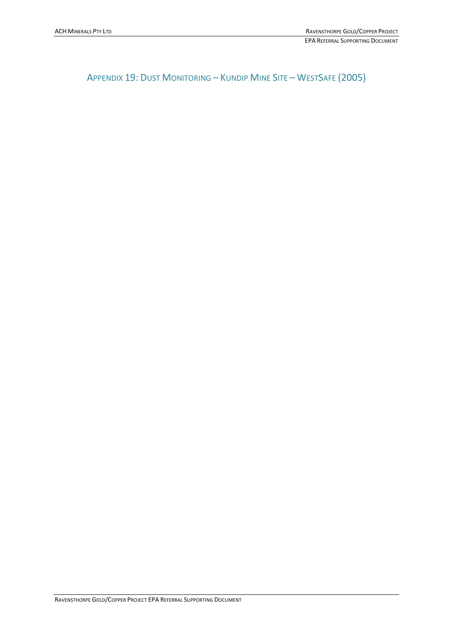APPENDIX 19: DUST MONITORING – KUNDIP MINE SITE – WESTSAFE (2005)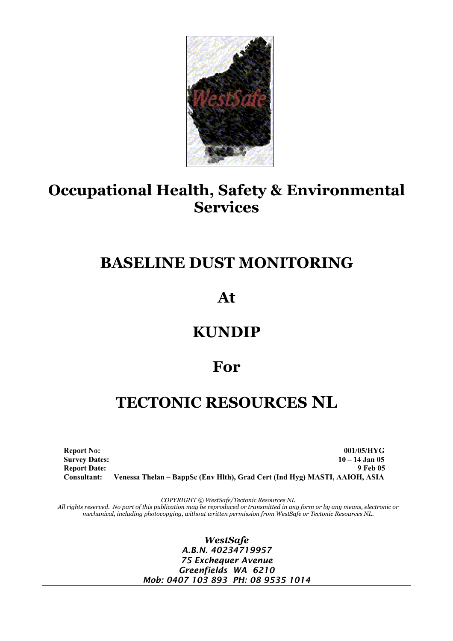

# **Occupational Health, Safety & Environmental Services**

# **BASELINE DUST MONITORING**

**At** 

# **KUNDIP**

## **For**

# **TECTONIC RESOURCES NL**

**Report No:** 001/05/HYG **Survey Dates: 10 – 14 Jan 05 Report Date:** 9 Feb 05 **Consultant: Venessa Thelan – BappSc (Env Hlth), Grad Cert (Ind Hyg) MASTI, AAIOH, ASIA** 

*COPYRIGHT © WestSafe/Tectonic Resources NL* 

*All rights reserved. No part of this publication may be reproduced or transmitted in any form or by any means, electronic or mechanical, including photocopying, without written permission from WestSafe or Tectonic Resources NL.* 

> *WestSafe A.B.N. 40234719957 75 Exchequer Avenue Greenfields WA 6210 Mob: 0407 103 893 PH: 08 9535 1014*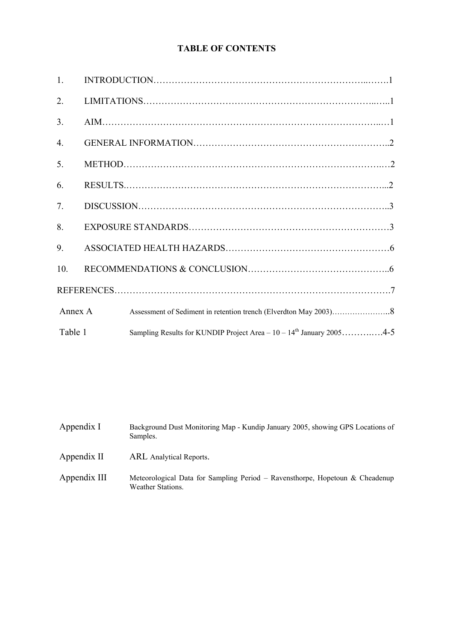### **TABLE OF CONTENTS**

| $\mathbf{1}$ .   |                                                                           |
|------------------|---------------------------------------------------------------------------|
| 2.               |                                                                           |
| 3 <sub>1</sub>   |                                                                           |
| $\overline{4}$ . |                                                                           |
| 5.               |                                                                           |
| 6.               |                                                                           |
| 7.               |                                                                           |
| 8.               |                                                                           |
| 9.               |                                                                           |
| 10.              |                                                                           |
|                  |                                                                           |
| Annex A          |                                                                           |
| Table 1          | Sampling Results for KUNDIP Project Area – $10 - 14^{th}$ January 20054-5 |

Appendix I Background Dust Monitoring Map - Kundip January 2005, showing GPS Locations of Samples.

- Appendix II ARL Analytical Reports.
- Appendix III Meteorological Data for Sampling Period Ravensthorpe, Hopetoun & Cheadenup Weather Stations.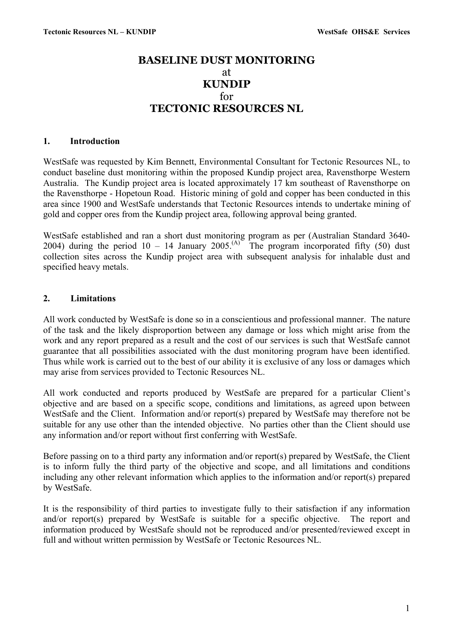## **BASELINE DUST MONITORING**  at **KUNDIP**  for **TECTONIC RESOURCES NL**

#### **1. Introduction**

WestSafe was requested by Kim Bennett, Environmental Consultant for Tectonic Resources NL, to conduct baseline dust monitoring within the proposed Kundip project area, Ravensthorpe Western Australia. The Kundip project area is located approximately 17 km southeast of Ravensthorpe on the Ravensthorpe - Hopetoun Road. Historic mining of gold and copper has been conducted in this area since 1900 and WestSafe understands that Tectonic Resources intends to undertake mining of gold and copper ores from the Kundip project area, following approval being granted.

WestSafe established and ran a short dust monitoring program as per (Australian Standard 3640- 2004) during the period  $10 - 14$  January 2005.<sup>(A)</sup> The program incorporated fifty (50) dust collection sites across the Kundip project area with subsequent analysis for inhalable dust and specified heavy metals.

#### **2. Limitations**

All work conducted by WestSafe is done so in a conscientious and professional manner. The nature of the task and the likely disproportion between any damage or loss which might arise from the work and any report prepared as a result and the cost of our services is such that WestSafe cannot guarantee that all possibilities associated with the dust monitoring program have been identified. Thus while work is carried out to the best of our ability it is exclusive of any loss or damages which may arise from services provided to Tectonic Resources NL.

All work conducted and reports produced by WestSafe are prepared for a particular Client's objective and are based on a specific scope, conditions and limitations, as agreed upon between WestSafe and the Client. Information and/or report(s) prepared by WestSafe may therefore not be suitable for any use other than the intended objective. No parties other than the Client should use any information and/or report without first conferring with WestSafe.

Before passing on to a third party any information and/or report(s) prepared by WestSafe, the Client is to inform fully the third party of the objective and scope, and all limitations and conditions including any other relevant information which applies to the information and/or report(s) prepared by WestSafe.

It is the responsibility of third parties to investigate fully to their satisfaction if any information and/or report(s) prepared by WestSafe is suitable for a specific objective. The report and information produced by WestSafe should not be reproduced and/or presented/reviewed except in full and without written permission by WestSafe or Tectonic Resources NL.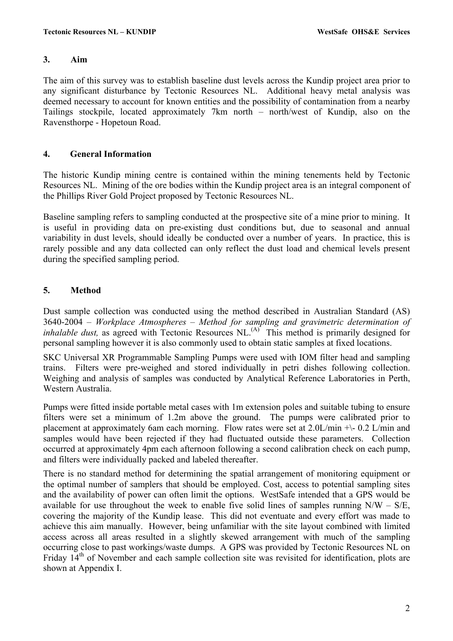#### **3. Aim**

The aim of this survey was to establish baseline dust levels across the Kundip project area prior to any significant disturbance by Tectonic Resources NL. Additional heavy metal analysis was deemed necessary to account for known entities and the possibility of contamination from a nearby Tailings stockpile, located approximately 7km north – north/west of Kundip, also on the Ravensthorpe - Hopetoun Road.

#### **4. General Information**

The historic Kundip mining centre is contained within the mining tenements held by Tectonic Resources NL. Mining of the ore bodies within the Kundip project area is an integral component of the Phillips River Gold Project proposed by Tectonic Resources NL.

Baseline sampling refers to sampling conducted at the prospective site of a mine prior to mining. It is useful in providing data on pre-existing dust conditions but, due to seasonal and annual variability in dust levels, should ideally be conducted over a number of years. In practice, this is rarely possible and any data collected can only reflect the dust load and chemical levels present during the specified sampling period.

#### **5. Method**

Dust sample collection was conducted using the method described in Australian Standard (AS) 3640-2004 – *Workplace Atmospheres – Method for sampling and gravimetric determination of inhalable dust*, as agreed with Tectonic Resources NL.<sup>(A)</sup> This method is primarily designed for personal sampling however it is also commonly used to obtain static samples at fixed locations.

SKC Universal XR Programmable Sampling Pumps were used with IOM filter head and sampling trains. Filters were pre-weighed and stored individually in petri dishes following collection. Weighing and analysis of samples was conducted by Analytical Reference Laboratories in Perth, Western Australia.

Pumps were fitted inside portable metal cases with 1m extension poles and suitable tubing to ensure filters were set a minimum of 1.2m above the ground. The pumps were calibrated prior to placement at approximately 6am each morning. Flow rates were set at  $2.0L/min +1$ - 0.2 L/min and samples would have been rejected if they had fluctuated outside these parameters. Collection occurred at approximately 4pm each afternoon following a second calibration check on each pump, and filters were individually packed and labeled thereafter.

There is no standard method for determining the spatial arrangement of monitoring equipment or the optimal number of samplers that should be employed. Cost, access to potential sampling sites and the availability of power can often limit the options. WestSafe intended that a GPS would be available for use throughout the week to enable five solid lines of samples running  $N/W - S/E$ . covering the majority of the Kundip lease. This did not eventuate and every effort was made to achieve this aim manually. However, being unfamiliar with the site layout combined with limited access across all areas resulted in a slightly skewed arrangement with much of the sampling occurring close to past workings/waste dumps. A GPS was provided by Tectonic Resources NL on Friday 14<sup>th</sup> of November and each sample collection site was revisited for identification, plots are shown at Appendix I.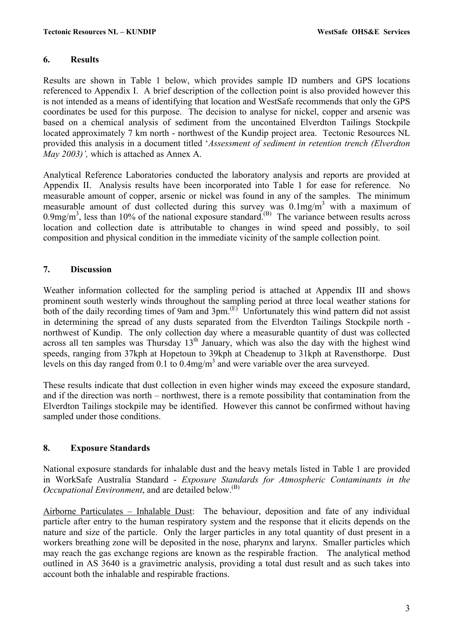#### **6. Results**

Results are shown in Table 1 below, which provides sample ID numbers and GPS locations referenced to Appendix I. A brief description of the collection point is also provided however this is not intended as a means of identifying that location and WestSafe recommends that only the GPS coordinates be used for this purpose. The decision to analyse for nickel, copper and arsenic was based on a chemical analysis of sediment from the uncontained Elverdton Tailings Stockpile located approximately 7 km north - northwest of the Kundip project area. Tectonic Resources NL provided this analysis in a document titled '*Assessment of sediment in retention trench (Elverdton May 2003)',* which is attached as Annex A.

Analytical Reference Laboratories conducted the laboratory analysis and reports are provided at Appendix II. Analysis results have been incorporated into Table 1 for ease for reference. No measurable amount of copper, arsenic or nickel was found in any of the samples. The minimum measurable amount of dust collected during this survey was  $0.1 \text{mg/m}^3$  with a maximum of 0.9mg/m<sup>3</sup>, less than 10% of the national exposure standard.<sup>(B)</sup> The variance between results across location and collection date is attributable to changes in wind speed and possibly, to soil composition and physical condition in the immediate vicinity of the sample collection point.

#### **7. Discussion**

Weather information collected for the sampling period is attached at Appendix III and shows prominent south westerly winds throughout the sampling period at three local weather stations for both of the daily recording times of 9am and 3pm.<sup>(E)</sup> Unfortunately this wind pattern did not assist in determining the spread of any dusts separated from the Elverdton Tailings Stockpile north northwest of Kundip. The only collection day where a measurable quantity of dust was collected across all ten samples was Thursday  $13<sup>th</sup>$  January, which was also the day with the highest wind speeds, ranging from 37kph at Hopetoun to 39kph at Cheadenup to 31kph at Ravensthorpe. Dust levels on this day ranged from 0.1 to 0.4mg/m<sup>3</sup> and were variable over the area surveyed.

These results indicate that dust collection in even higher winds may exceed the exposure standard, and if the direction was north – northwest, there is a remote possibility that contamination from the Elverdton Tailings stockpile may be identified. However this cannot be confirmed without having sampled under those conditions.

#### **8. Exposure Standards**

National exposure standards for inhalable dust and the heavy metals listed in Table 1 are provided in WorkSafe Australia Standard - *Exposure Standards for Atmospheric Contaminants in the Occupational Environment*, and are detailed below.<sup>(B)</sup>

Airborne Particulates – Inhalable Dust: The behaviour, deposition and fate of any individual particle after entry to the human respiratory system and the response that it elicits depends on the nature and size of the particle. Only the larger particles in any total quantity of dust present in a workers breathing zone will be deposited in the nose, pharynx and larynx. Smaller particles which may reach the gas exchange regions are known as the respirable fraction. The analytical method outlined in AS 3640 is a gravimetric analysis, providing a total dust result and as such takes into account both the inhalable and respirable fractions.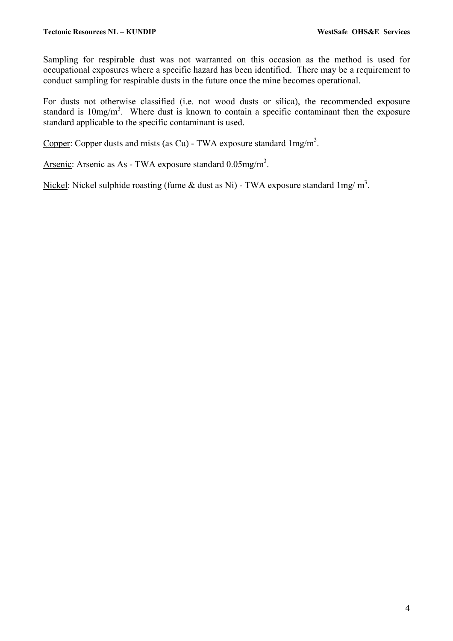Sampling for respirable dust was not warranted on this occasion as the method is used for occupational exposures where a specific hazard has been identified. There may be a requirement to conduct sampling for respirable dusts in the future once the mine becomes operational.

For dusts not otherwise classified (i.e. not wood dusts or silica), the recommended exposure standard is  $10mg/m<sup>3</sup>$ . Where dust is known to contain a specific contaminant then the exposure standard applicable to the specific contaminant is used.

Copper: Copper dusts and mists (as Cu) - TWA exposure standard  $1 \text{mg/m}^3$ .

Arsenic: Arsenic as As - TWA exposure standard  $0.05$ mg/m<sup>3</sup>.

Nickel: Nickel sulphide roasting (fume  $\&$  dust as Ni) - TWA exposure standard 1mg/m<sup>3</sup>.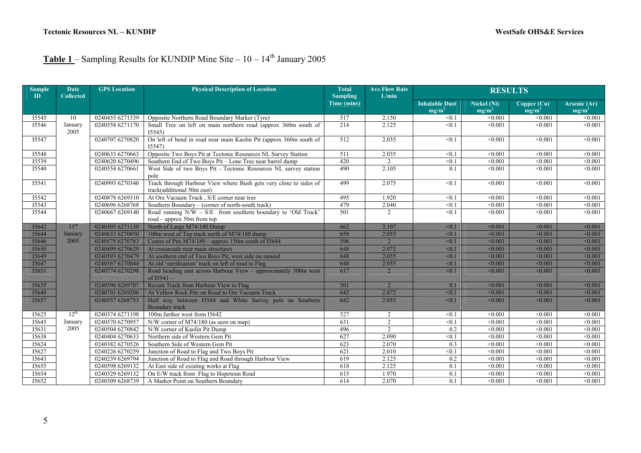## Table 1 – Sampling Results for KUNDIP Mine Site – 10 – 14<sup>th</sup> January 2005

| <b>Sample</b><br>ID | <b>Date</b><br><b>Collected</b> | <b>GPS</b> Location | <b>Physical Description of Location</b>                                                         | <b>Total</b><br><b>Sampling</b> | <b>Ave Flow Rate</b><br>L/min | <b>RESULTS</b>                    |                                |                         |                          |  |  |  |  |
|---------------------|---------------------------------|---------------------|-------------------------------------------------------------------------------------------------|---------------------------------|-------------------------------|-----------------------------------|--------------------------------|-------------------------|--------------------------|--|--|--|--|
|                     |                                 |                     |                                                                                                 | Time (mins)                     |                               | <b>Inhalable Dust</b><br>$mg/m^2$ | <b>Nickel (Ni)</b><br>$mg/m^3$ | Copper (Cu)<br>$mg/m^2$ | Arsenic (Ar)<br>$mg/m^3$ |  |  |  |  |
| I5545               | 10                              | 0240455 6271539     | Opposite Northern Road Boundary Marker (Tyre)                                                   | 517                             | 2.150                         | < 0.1                             | < 0.001                        | < 0.001                 | < 0.001                  |  |  |  |  |
| 15546               | January<br>2005                 | 0240558 6271170     | Small Tree on left on main northern road (approx 360m south of<br>I5545                         | 214                             | 2.125                         | < 0.1                             | < 0.001                        | < 0.001                 | < 0.001                  |  |  |  |  |
| I5547               |                                 | 0240707 6270820     | On left of bend in road near main Kaolin Pit (approx 360m south of<br>I5547                     | 512                             | 2.035                         | < 0.1                             | < 0.001                        | < 0.001                 | < 0.001                  |  |  |  |  |
| I5548               |                                 | 0240633 6270663     | Opposite Two Boys Pit at Tectonic Resources NL Survey Station                                   | 511                             | 2.035                         | < 0.1                             | < 0.001                        | < 0.001                 | < 0.001                  |  |  |  |  |
| 15539               |                                 | 0240620 6270496     | Southern End of Two Boys Pit - Lone Tree near barrel dump                                       | 420                             | $\mathfrak{D}$                | < 0.1                             | < 0.001                        | < 0.001                 | < 0.001                  |  |  |  |  |
| I5540               |                                 | 0240554 6270661     | West Side of two Boys Pit - Tectonic Resources NL survey station<br>pole                        | 490                             | 2.105                         | 0.1                               | < 0.001                        | < 0.001                 | < 0.001                  |  |  |  |  |
| I5541               |                                 | 0240993 6270340     | Track through Harbour View where Bush gets very close to sides of<br>track(additional 50m east) | 499                             | 2.075                         | < 0.1                             | < 0.001                        | < 0.001                 | < 0.001                  |  |  |  |  |
| 15542               |                                 | 0240878 6269310     | At Ore Vacuum Truck, S/E corner near tree                                                       | 495                             | 1.920                         | < 0.1                             | < 0.001                        | < 0.001                 | < 0.001                  |  |  |  |  |
| I5543               |                                 | 0240696 6268768     | Southern Boundary – (corner of north-south track)                                               | 479                             | 2.040                         | < 0.1                             | < 0.001                        | $\sqrt{0.001}$          | < 0.001                  |  |  |  |  |
| I5544               |                                 | 0240667 6269140     | Road running $N/W - S/E$ from southern boundary to 'Old Truck'<br>road – approx 50m from top    | 501                             | $\overline{2}$                | < 0.1                             | < 0.001                        | < 0.001                 | < 0.001                  |  |  |  |  |
| I5642               | 11 <sup>th</sup>                | 0240505 6271130     | North of Large M74/180 Dump                                                                     | 662                             | 2.107                         | < 0.1                             | < 0.001                        | < 0.001                 | < 0.001                  |  |  |  |  |
| I5644               | January                         | 0240633 6270850     | 100m west of Top track north of M74/180 dump                                                    | 658                             | 2.055                         | < 0.1                             | < 0.001                        | < 0.001                 | < 0.001                  |  |  |  |  |
| <b>I5646</b>        | 2005                            | 0240579 6270783     | Centre of Pits M74/180 - approx 150m south of I5644                                             | 596                             | $\overline{2}$                | < 0.1                             | < 0.001                        | < 0.001                 | < 0.001                  |  |  |  |  |
| I5650               |                                 | 0240499 6270629     | At crossroads near main structures                                                              | 648                             | 2.072                         | < 0.1                             | < 0.001                        | < 0.001                 | < 0.001                  |  |  |  |  |
| I5649               |                                 | 0240593 6270479     | At southern end of Two Boys Pit, west side on mound                                             | 648                             | 2.055                         | < 0.1                             | < 0.001                        | < 0.001                 | < 0.001                  |  |  |  |  |
| I5647               |                                 | 0240367 6270044     | At old 'sterilisation' track on left of road to Flag                                            | 648                             | 2.055                         | < 0.1                             | < 0.001                        | < 0.001                 | < 0.001                  |  |  |  |  |
| I5651               |                                 | 0240774 6270298     | Road heading east across Harbour View - approximately 300m west<br>of $15541 -$                 | 617                             | $\overline{2}$                | < 0.1                             | < 0.001                        | < 0.001                 | < 0.001                  |  |  |  |  |
| 15635               |                                 | 0240596 6269707     | Recent Track from Harbour View to Flag                                                          | 501                             |                               | 0.1                               | < 0.001                        | < 0.001                 | < 0.001                  |  |  |  |  |
| <b>I5648</b>        |                                 | 0240701 6269206     | At Yellow Rock Pile on Road to Ore Vacuum Truck                                                 | 642                             | 2.072                         | < 0.1                             | < 0.001                        | < 0.001                 | < 0.001                  |  |  |  |  |
| 15657               |                                 | 0240557 6268753     | Half way between I5544 and White Survey pole on Southern<br>Boundary track                      | 642                             | 2.055                         | < 0.1                             | < 0.001                        | < 0.001                 | < 0.001                  |  |  |  |  |
| I5625               | $12^{th}$                       | 0240374 6271198     | 100m further west from I5642                                                                    | 527                             | $\overline{2}$                | < 0.1                             | < 0.001                        | < 0.001                 | < 0.001                  |  |  |  |  |
| I5645               | January                         | 0240570 6270957     | N/W corner of M74/180 (as seen on map)                                                          | $\overline{631}$                | $\overline{2}$                | < 0.1                             | < 0.001                        | < 0.001                 | < 0.001                  |  |  |  |  |
| 15631               | 2005                            | 0240504 6270842     | N/W corner of Kaolin Pit Dump                                                                   | 496                             | $\overline{2}$                | 0.2                               | < 0.001                        | < 0.001                 | < 0.001                  |  |  |  |  |
| I5638               |                                 | 0240404 6270633     | Northern side of Western Gem Pit                                                                | 627                             | 2.090                         | < 0.1                             | < 0.001                        | $\sqrt{0.001}$          | < 0.001                  |  |  |  |  |
| 15624               |                                 | 0240382 6270526     | Southern Side of Western Gem Pit                                                                | 623                             | 2.070                         | 0.3                               | < 0.001                        | $\sqrt{0.001}$          | < 0.001                  |  |  |  |  |
| I5627               |                                 | 0240226 6270259     | Junction of Road to Flag and Two Boys Pit                                                       | 621                             | 2.010                         | < 0.1                             | < 0.001                        | < 0.001                 | < 0.001                  |  |  |  |  |
| I5643               |                                 | 0240239 6269794     | Junction of Road to Flag and Road through Harbour View                                          | 619                             | 2.125                         | 0.2                               | < 0.001                        | < 0.001                 | < 0.001                  |  |  |  |  |
| I5655               |                                 | 0240598 6269132     | At East side of existing works at Flag                                                          | 618                             | 2.125                         | 0.1                               | < 0.001                        | < 0.001                 | < 0.001                  |  |  |  |  |
| 15654               |                                 | 0240329 6269132     | On E/W track from Flag to Hopetoun Road                                                         | 615                             | 1.970                         | 0.1                               | < 0.001                        | < 0.001                 | < 0.001                  |  |  |  |  |
| 15652               |                                 | 0240309 6268739     | A Marker Point on Southern Boundary                                                             | 614                             | 2.070                         | 0.1                               | < 0.001                        | < 0.001                 | < 0.001                  |  |  |  |  |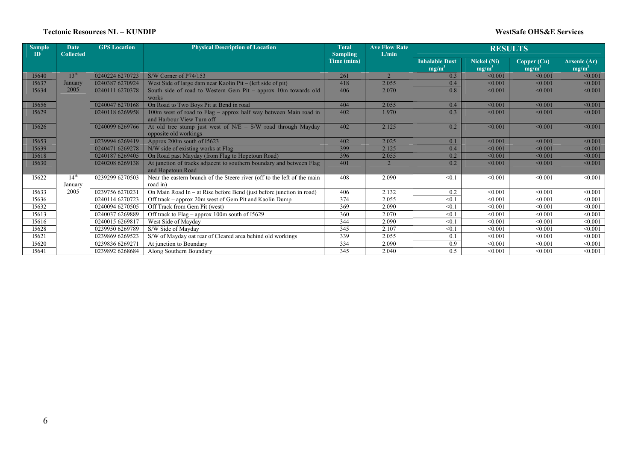#### **Tectonic Resources NL – KUNDIP**

#### **WestSafe OHS&E Services**

| <b>Sample</b><br>ID | <b>Date</b><br><b>Collected</b> | <b>GPS</b> Location | <b>Physical Description of Location</b>                                                       | <b>Total</b><br><b>Sampling</b> | <b>Ave Flow Rate</b><br>L/min |                                   | <b>RESULTS</b>                 |                         |                          |
|---------------------|---------------------------------|---------------------|-----------------------------------------------------------------------------------------------|---------------------------------|-------------------------------|-----------------------------------|--------------------------------|-------------------------|--------------------------|
|                     |                                 |                     |                                                                                               | Time (mins)                     |                               | <b>Inhalable Dust</b><br>$mg/m^3$ | <b>Nickel (Ni)</b><br>$mg/m^2$ | Copper (Cu)<br>$mg/m^3$ | Arsenic (Ar)<br>$mg/m^3$ |
| I5640               | 13 <sup>th</sup>                | 0240224 6270723     | S/W Corner of P74/153                                                                         | 261                             |                               | 0.3                               | < 0.001                        | < 0.001                 | < 0.001                  |
| I5637               | January                         | 0240387 6270924     | West Side of large dam near Kaolin Pit – (left side of pit)                                   | 418                             | 2.055                         | 0.4                               | < 0.001                        | < 0.001                 | < 0.001                  |
| I5634               | 2005                            | 0240111 6270378     | South side of road to Western Gem Pit – approx 10m towards old<br>works                       | 406                             | 2.070                         | 0.8                               | < 0.001                        | < 0.001                 | < 0.001                  |
| I5656               |                                 | 0240047 6270168     | On Road to Two Boys Pit at Bend in road                                                       | 404                             | 2.055                         | 0.4                               | < 0.001                        | < 0.001                 | < 0.001                  |
| I5629               |                                 | 0240118 6269958     | 100m west of road to Flag - approx half way between Main road in<br>and Harbour View Turn off | 402                             | 1.970                         | 0.3                               | < 0.001                        | < 0.001                 | < 0.001                  |
| 15626               |                                 | 0240099 6269766     | At old tree stump just west of $N/E - S/W$ road through Mayday<br>opposite old workings       | 402                             | 2.125                         | 0.2                               | < 0.001                        | < 0.001                 | < 0.001                  |
| I5653               |                                 | 0239994 6269419     | Approx 200m south of I5623                                                                    | 402                             | 2.025                         | 0.1                               | < 0.001                        | < 0.001                 | < 0.001                  |
| 15639               |                                 | 0240471 6269278     | N/W side of existing works at Flag                                                            | 399                             | 2.125                         | 0.4                               | < 0.001                        | < 0.001                 | < 0.001                  |
| I5618               |                                 | 0240187 6269405     | On Road past Mayday (from Flag to Hopetoun Road)                                              | 396                             | 2.055                         | 0.2                               | < 0.001                        | < 0.001                 | < 0.001                  |
| 15630               |                                 | 0240208 6269138     | At junction of tracks adjacent to southern boundary and between Flag<br>and Hopetoun Road     | 401                             |                               | 0.2                               | < 0.001                        | < 0.001                 | < 0.001                  |
| I5622               | 14 <sup>th</sup>                | 0239299 6270503     | Near the eastern branch of the Steere river (off to the left of the main                      | 408                             | 2.090                         | < 0.1                             | < 0.001                        | < 0.001                 | < 0.001                  |
|                     | January                         |                     | road in)                                                                                      |                                 |                               |                                   |                                |                         |                          |
| 15633               | 2005                            | 0239756 6270231     | On Main Road In – at Rise before Bend (just before junction in road)                          | 406                             | 2.132                         | 0.2                               | < 0.001                        | < 0.001                 | < 0.001                  |
| 15636               |                                 | 0240114 6270723     | Off track – approx 20m west of Gem Pit and Kaolin Dump                                        | 374                             | 2.055                         | < 0.1                             | < 0.001                        | < 0.001                 | < 0.001                  |
| I5632               |                                 | 0240094 6270505     | Off Track from Gem Pit (west)                                                                 | 369                             | 2.090                         | < 0.1                             | < 0.001                        | < 0.001                 | < 0.001                  |
| I5613               |                                 | 0240037 6269889     | Off track to Flag – approx 100m south of 15629                                                | 360                             | 2.070                         | < 0.1                             | < 0.001                        | < 0.001                 | < 0.001                  |
| I5616               |                                 | 0240015 6269817     | West Side of Mayday                                                                           | 344                             | 2.090                         | < 0.1                             | < 0.001                        | < 0.001                 | < 0.001                  |
| I5628               |                                 | 0239950 6269789     | S/W Side of Mayday                                                                            | 345                             | 2.107                         | < 0.1                             | < 0.001                        | < 0.001                 | < 0.001                  |
| I5621               |                                 | 0239869 6269523     | S/W of Mayday oat rear of Cleared area behind old workings                                    | 339                             | 2.055                         | 0.1                               | < 0.001                        | < 0.001                 | < 0.001                  |
| I5620               |                                 | 0239836 6269271     | At junction to Boundary                                                                       | 334                             | 2.090                         | 0.9                               | < 0.001                        | < 0.001                 | < 0.001                  |
| I5641               |                                 | 0239892 6268684     | Along Southern Boundary                                                                       | 345                             | 2.040                         | 0.5                               | < 0.001                        | < 0.001                 | < 0.001                  |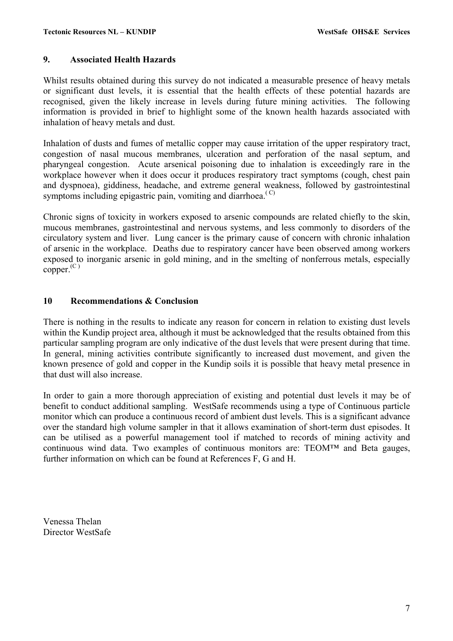#### **9. Associated Health Hazards**

Whilst results obtained during this survey do not indicated a measurable presence of heavy metals or significant dust levels, it is essential that the health effects of these potential hazards are recognised, given the likely increase in levels during future mining activities. The following information is provided in brief to highlight some of the known health hazards associated with inhalation of heavy metals and dust.

Inhalation of dusts and fumes of metallic copper may cause irritation of the upper respiratory tract, congestion of nasal mucous membranes, ulceration and perforation of the nasal septum, and pharyngeal congestion. Acute arsenical poisoning due to inhalation is exceedingly rare in the workplace however when it does occur it produces respiratory tract symptoms (cough, chest pain and dyspnoea), giddiness, headache, and extreme general weakness, followed by gastrointestinal symptoms including epigastric pain, vomiting and diarrhoea.<sup> $(C)$ </sup>

Chronic signs of toxicity in workers exposed to arsenic compounds are related chiefly to the skin, mucous membranes, gastrointestinal and nervous systems, and less commonly to disorders of the circulatory system and liver. Lung cancer is the primary cause of concern with chronic inhalation of arsenic in the workplace. Deaths due to respiratory cancer have been observed among workers exposed to inorganic arsenic in gold mining, and in the smelting of nonferrous metals, especially  $copper$ <sup>(C)</sup>

#### **10 Recommendations & Conclusion**

There is nothing in the results to indicate any reason for concern in relation to existing dust levels within the Kundip project area, although it must be acknowledged that the results obtained from this particular sampling program are only indicative of the dust levels that were present during that time. In general, mining activities contribute significantly to increased dust movement, and given the known presence of gold and copper in the Kundip soils it is possible that heavy metal presence in that dust will also increase.

In order to gain a more thorough appreciation of existing and potential dust levels it may be of benefit to conduct additional sampling. WestSafe recommends using a type of Continuous particle monitor which can produce a continuous record of ambient dust levels. This is a significant advance over the standard high volume sampler in that it allows examination of short-term dust episodes. It can be utilised as a powerful management tool if matched to records of mining activity and continuous wind data. Two examples of continuous monitors are: TEOM™ and Beta gauges, further information on which can be found at References F, G and H.

Venessa Thelan Director WestSafe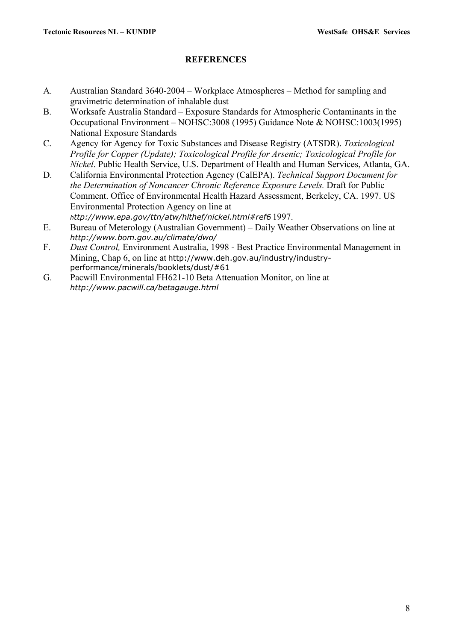#### **REFERENCES**

- A. Australian Standard 3640-2004 Workplace Atmospheres Method for sampling and gravimetric determination of inhalable dust
- B. Worksafe Australia Standard Exposure Standards for Atmospheric Contaminants in the Occupational Environment – NOHSC:3008 (1995) Guidance Note & NOHSC:1003(1995) National Exposure Standards
- C. Agency for Agency for Toxic Substances and Disease Registry (ATSDR). *Toxicological Profile for Copper (Update); Toxicological Profile for Arsenic; Toxicological Profile for Nickel*. Public Health Service, U.S. Department of Health and Human Services, Atlanta, GA.
- D. California Environmental Protection Agency (CalEPA). *Technical Support Document for the Determination of Noncancer Chronic Reference Exposure Levels.* Draft for Public Comment. Office of Environmental Health Hazard Assessment, Berkeley, CA. 1997. US Environmental Protection Agency on line at *http://www.epa.gov/ttn/atw/hlthef/nickel.html#ref6* 1997.
- E. Bureau of Meterology (Australian Government) Daily Weather Observations on line at *http://www.bom.gov.au/climate/dwo/*
- F. *Dust Control,* Environment Australia, 1998 Best Practice Environmental Management in Mining, Chap 6, on line at http://www.deh.gov.au/industry/industryperformance/minerals/booklets/dust/#61
- G. Pacwill Environmental FH621-10 Beta Attenuation Monitor, on line at *http://www.pacwill.ca/betagauge.html*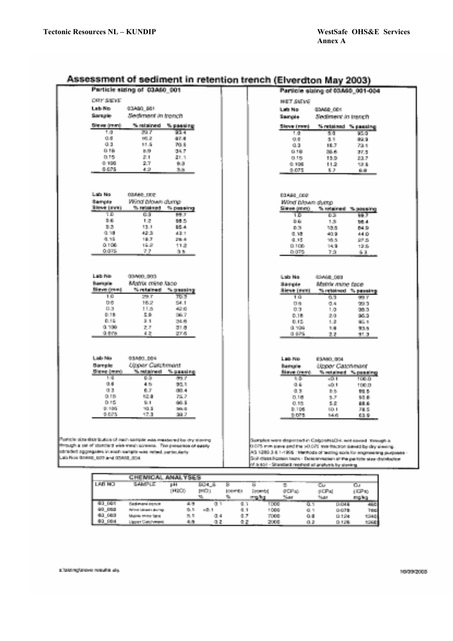| 535                                                                                                                                                                                                                                                                                                                    | omment in retention trenth renvergion may<br>43.NJ 3                                                                                                                                                                                                                                                                                                |  |  |  |  |  |  |  |
|------------------------------------------------------------------------------------------------------------------------------------------------------------------------------------------------------------------------------------------------------------------------------------------------------------------------|-----------------------------------------------------------------------------------------------------------------------------------------------------------------------------------------------------------------------------------------------------------------------------------------------------------------------------------------------------|--|--|--|--|--|--|--|
| Particle sizing of 03A60 001                                                                                                                                                                                                                                                                                           | Particle sizing of 63.650 001-004                                                                                                                                                                                                                                                                                                                   |  |  |  |  |  |  |  |
| DRY SERE                                                                                                                                                                                                                                                                                                               | <b>HELT SIGNS</b>                                                                                                                                                                                                                                                                                                                                   |  |  |  |  |  |  |  |
| Luis No.                                                                                                                                                                                                                                                                                                               | Lab No.                                                                                                                                                                                                                                                                                                                                             |  |  |  |  |  |  |  |
| 03/650 064                                                                                                                                                                                                                                                                                                             | 03460 001                                                                                                                                                                                                                                                                                                                                           |  |  |  |  |  |  |  |
| Stampation                                                                                                                                                                                                                                                                                                             | Sectioners in teaching                                                                                                                                                                                                                                                                                                                              |  |  |  |  |  |  |  |
| diesdictated in teaching                                                                                                                                                                                                                                                                                               | Spreak                                                                                                                                                                                                                                                                                                                                              |  |  |  |  |  |  |  |
| <b>Eleven (march</b><br>% retained.<br>% passing                                                                                                                                                                                                                                                                       | % retained % passing<br>Shove forced                                                                                                                                                                                                                                                                                                                |  |  |  |  |  |  |  |
| 29.7                                                                                                                                                                                                                                                                                                                   | 50                                                                                                                                                                                                                                                                                                                                                  |  |  |  |  |  |  |  |
| कान                                                                                                                                                                                                                                                                                                                    | 1,0                                                                                                                                                                                                                                                                                                                                                 |  |  |  |  |  |  |  |
| 1,0                                                                                                                                                                                                                                                                                                                    | 95.0                                                                                                                                                                                                                                                                                                                                                |  |  |  |  |  |  |  |
| 以長<br>95.2<br>新作用<br>0.6<br>11.5<br>70.5                                                                                                                                                                                                                                                                               | 京都<br>改革<br>89.9<br>0.8<br>18.7                                                                                                                                                                                                                                                                                                                     |  |  |  |  |  |  |  |
| 0.18<br>医腺<br>34.7                                                                                                                                                                                                                                                                                                     | 73.1<br>自由的<br>消息表<br>37.6                                                                                                                                                                                                                                                                                                                          |  |  |  |  |  |  |  |
| 0.15                                                                                                                                                                                                                                                                                                                   | 0.16                                                                                                                                                                                                                                                                                                                                                |  |  |  |  |  |  |  |
| 記号                                                                                                                                                                                                                                                                                                                     | 13.9                                                                                                                                                                                                                                                                                                                                                |  |  |  |  |  |  |  |
| 量比率                                                                                                                                                                                                                                                                                                                    | 23.7                                                                                                                                                                                                                                                                                                                                                |  |  |  |  |  |  |  |
| 0.106                                                                                                                                                                                                                                                                                                                  | $-106$                                                                                                                                                                                                                                                                                                                                              |  |  |  |  |  |  |  |
| 9.7                                                                                                                                                                                                                                                                                                                    | 11.21                                                                                                                                                                                                                                                                                                                                               |  |  |  |  |  |  |  |
| 鳥落                                                                                                                                                                                                                                                                                                                     | 12.5                                                                                                                                                                                                                                                                                                                                                |  |  |  |  |  |  |  |
| 0.025                                                                                                                                                                                                                                                                                                                  | 0.075                                                                                                                                                                                                                                                                                                                                               |  |  |  |  |  |  |  |
| 4.2                                                                                                                                                                                                                                                                                                                    | 5.7                                                                                                                                                                                                                                                                                                                                                 |  |  |  |  |  |  |  |
| 乳房                                                                                                                                                                                                                                                                                                                     | 自由                                                                                                                                                                                                                                                                                                                                                  |  |  |  |  |  |  |  |
| Lab No<br><b>COAAA TEOT</b><br>Wind blown during<br>Stammente<br><b>Stove (mm)</b><br>To retained.<br>% passiving<br>ŦБ<br>ūт<br>藤沢                                                                                                                                                                                    | 03A60 000<br>Wind blown slugg.<br>Stimmer (count).<br>% relained % passing<br>D.S.<br>īΟ<br>98.3                                                                                                                                                                                                                                                    |  |  |  |  |  |  |  |
| 影響                                                                                                                                                                                                                                                                                                                     | 景象                                                                                                                                                                                                                                                                                                                                                  |  |  |  |  |  |  |  |
| 1.2                                                                                                                                                                                                                                                                                                                    | 1.3                                                                                                                                                                                                                                                                                                                                                 |  |  |  |  |  |  |  |
| 98.S                                                                                                                                                                                                                                                                                                                   | 58.4                                                                                                                                                                                                                                                                                                                                                |  |  |  |  |  |  |  |
| 8.3                                                                                                                                                                                                                                                                                                                    | $0.35\,$                                                                                                                                                                                                                                                                                                                                            |  |  |  |  |  |  |  |
| 13.1                                                                                                                                                                                                                                                                                                                   | 84.9                                                                                                                                                                                                                                                                                                                                                |  |  |  |  |  |  |  |
| <b>BS.A.</b>                                                                                                                                                                                                                                                                                                           | 33.6                                                                                                                                                                                                                                                                                                                                                |  |  |  |  |  |  |  |
| 0.38                                                                                                                                                                                                                                                                                                                   | 40.9                                                                                                                                                                                                                                                                                                                                                |  |  |  |  |  |  |  |
| 42.31                                                                                                                                                                                                                                                                                                                  | 44.0                                                                                                                                                                                                                                                                                                                                                |  |  |  |  |  |  |  |
| 43.1                                                                                                                                                                                                                                                                                                                   | 0.35                                                                                                                                                                                                                                                                                                                                                |  |  |  |  |  |  |  |
| 0.75                                                                                                                                                                                                                                                                                                                   | 0.15                                                                                                                                                                                                                                                                                                                                                |  |  |  |  |  |  |  |
| 18.7                                                                                                                                                                                                                                                                                                                   | 16.5                                                                                                                                                                                                                                                                                                                                                |  |  |  |  |  |  |  |
| 200.41                                                                                                                                                                                                                                                                                                                 | 89 S                                                                                                                                                                                                                                                                                                                                                |  |  |  |  |  |  |  |
| 0.106<br>16.突<br>11.2<br>0.07%<br>7.7                                                                                                                                                                                                                                                                                  | 0.106<br>14.9<br>12.5                                                                                                                                                                                                                                                                                                                               |  |  |  |  |  |  |  |
| 乳腺                                                                                                                                                                                                                                                                                                                     | 0.078<br>7.9<br><b>15.50</b>                                                                                                                                                                                                                                                                                                                        |  |  |  |  |  |  |  |
| Lists No.<br>03/400 000<br>Matrix roine face<br><b>Starronie</b><br><b>Blanch Counts</b><br>% retained.<br>% propoles<br>10<br>তিত<br>建筑<br><b>Dist</b><br>16.2<br>54.1<br>0.3<br>11.5<br>42.6<br>0.18<br>星座<br>265.71<br>0.15<br>$3 - 1$<br>24.6<br>0.108<br>$\mathbb{Z}/\mathbb{Z}$<br>31.8<br>G. Gray<br>通常<br>EF.6 | Lab No-<br>03468-088<br>diamonte.<br>Matzie mine face<br>Sieve (ere)<br>74 retained 14 penatrol<br>1.01<br>òЗ<br>wa y<br>D.B.<br>0.6<br>99.0<br>自由<br>1.13<br>535 F<br>0.18<br>2.0<br>96.9<br>0.15<br>1.2<br>95.1<br>0.109<br>加速<br>103.6<br>0.676<br>2.2<br>91.3                                                                                   |  |  |  |  |  |  |  |
| Lats Ma                                                                                                                                                                                                                                                                                                                | Link-Pine                                                                                                                                                                                                                                                                                                                                           |  |  |  |  |  |  |  |
| 10/480 00:4                                                                                                                                                                                                                                                                                                            | ESANO (SSA)                                                                                                                                                                                                                                                                                                                                         |  |  |  |  |  |  |  |
| Uzpar Catchroad                                                                                                                                                                                                                                                                                                        | Stamming.                                                                                                                                                                                                                                                                                                                                           |  |  |  |  |  |  |  |
| Serveie                                                                                                                                                                                                                                                                                                                | <b>Linear Catricognet</b>                                                                                                                                                                                                                                                                                                                           |  |  |  |  |  |  |  |
| % natalized<br><b>Sidne (mm)</b><br><sup>9</sup> cassing                                                                                                                                                                                                                                                               | <b>Biene freed.</b><br>% retained % passing                                                                                                                                                                                                                                                                                                         |  |  |  |  |  |  |  |
| 63.                                                                                                                                                                                                                                                                                                                    | 花香                                                                                                                                                                                                                                                                                                                                                  |  |  |  |  |  |  |  |
| 大地                                                                                                                                                                                                                                                                                                                     | -6.1                                                                                                                                                                                                                                                                                                                                                |  |  |  |  |  |  |  |
| 腹い ア                                                                                                                                                                                                                                                                                                                   | 100 D                                                                                                                                                                                                                                                                                                                                               |  |  |  |  |  |  |  |
| 真重                                                                                                                                                                                                                                                                                                                     | 0.6                                                                                                                                                                                                                                                                                                                                                 |  |  |  |  |  |  |  |
| 4.80                                                                                                                                                                                                                                                                                                                   | $-0.1$                                                                                                                                                                                                                                                                                                                                              |  |  |  |  |  |  |  |
| 95.1                                                                                                                                                                                                                                                                                                                   | 100.01                                                                                                                                                                                                                                                                                                                                              |  |  |  |  |  |  |  |
| 0.3                                                                                                                                                                                                                                                                                                                    | 2.2                                                                                                                                                                                                                                                                                                                                                 |  |  |  |  |  |  |  |
| 風田                                                                                                                                                                                                                                                                                                                     | 新型                                                                                                                                                                                                                                                                                                                                                  |  |  |  |  |  |  |  |
| <b>FIR 4</b>                                                                                                                                                                                                                                                                                                           | 59.54                                                                                                                                                                                                                                                                                                                                               |  |  |  |  |  |  |  |
| 0.18<br>75.7<br>52.0<br>0.16<br>9.1<br>98.5                                                                                                                                                                                                                                                                            | <b>D. 181</b><br>5. 31<br>50.8<br>医脊<br>医阴道                                                                                                                                                                                                                                                                                                         |  |  |  |  |  |  |  |
| 0.106<br>90.5<br>205.07                                                                                                                                                                                                                                                                                                | 0.85<br>81 T DA<br>50.8<br>38.51                                                                                                                                                                                                                                                                                                                    |  |  |  |  |  |  |  |
| 0.005                                                                                                                                                                                                                                                                                                                  | 0.075                                                                                                                                                                                                                                                                                                                                               |  |  |  |  |  |  |  |
| 17.0                                                                                                                                                                                                                                                                                                                   | 54.6                                                                                                                                                                                                                                                                                                                                                |  |  |  |  |  |  |  |
| 39.7                                                                                                                                                                                                                                                                                                                   | 63.91                                                                                                                                                                                                                                                                                                                                               |  |  |  |  |  |  |  |
| Particle size distribution of each sample was measured by dry slowing<br>mough a set of standard wire mesh someone. The personne of ageny<br>stracked appreciates in each sample was around north during<br>Lais Nos Stakes: pott and counts ong.                                                                      | Sumplex were disposed in CalgoritisCH, we sevent measures,<br>0.075 mm sieve and the 50.075 was fraction sieved by dry similary.<br>AS 1209.3-5.1-1995 : Methods of teating soils for engineering purposes.<br>Soil distabilization tests - Desenvission at the particle stati distribution<br>of a soil - Standard restrict at analysis by steeing |  |  |  |  |  |  |  |

### Assessment of sediment in retention trench (Elverston May 2003).

|               | <b>CHEMICAL AN</b>     | 学院研究        |       |                  |           |                 | THE R. P. LEWIS CO., LANSING, MICH. 49-14039-1-120-2 |               |
|---------------|------------------------|-------------|-------|------------------|-----------|-----------------|------------------------------------------------------|---------------|
| <b>LAB NO</b> | 各共和学士院                 | DН          |       | æ                | 57        | --<br>o         | œ                                                    | ЮJ.           |
|               |                        | <b>OBBO</b> | 1962) | <b>MODERN ST</b> | listent d | 0 CP 10         | ⊕EP st                                               | <b>ICP to</b> |
|               |                        |             | 10    |                  | arna filo |                 |                                                      | mana          |
| - Geld        | Paulinus i locali      |             | Q.    | 9. V             | DO.       | <b>BU</b><br>о. | <b>DOM:</b>                                          | æ             |
| <b>DOM:</b>   | Wheel Islamics storage | 9. D        | 一部分   |                  | 1000      | 0.1             | 0.078                                                | 7001          |
| 63, 663       | Making triple facts    | 恩用          | 9.4   | 6 Z              | 7000      | 意識              | 0.124                                                | 1240          |
| <b>DOM</b>    | Upper Galdways         | 电表          |       |                  | 2008      | 0. J            | 0.126                                                | 12640         |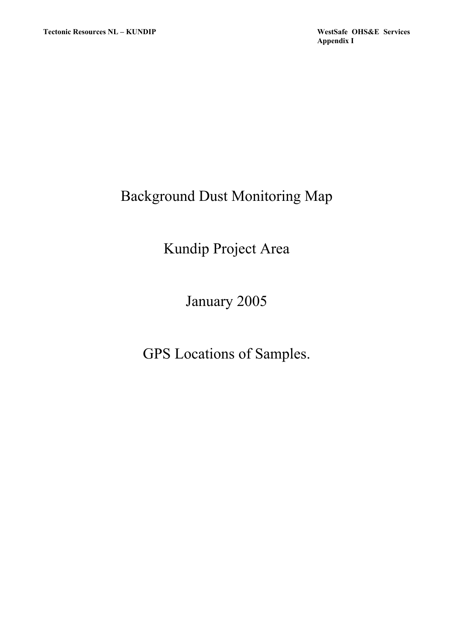# Background Dust Monitoring Map

# Kundip Project Area

January 2005

GPS Locations of Samples.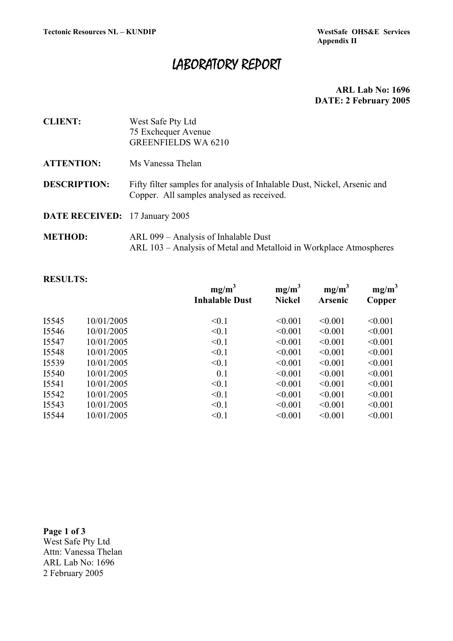**Appendix II** 

## LABORATORY REPORT

 **ARL Lab No: 1696 DATE: 2 February 2005** 

| <b>CLIENT:</b>                        | West Safe Pty Ltd<br>75 Exchequer Avenue<br><b>GREENFIELDS WA 6210</b>                                                |
|---------------------------------------|-----------------------------------------------------------------------------------------------------------------------|
| <b>ATTENTION:</b>                     | Ms Vanessa Thelan                                                                                                     |
| <b>DESCRIPTION:</b>                   | Fifty filter samples for analysis of Inhalable Dust, Nickel, Arsenic and<br>Copper. All samples analysed as received. |
| <b>DATE RECEIVED:</b> 17 January 2005 |                                                                                                                       |
| <b>METHOD:</b>                        | ARL 099 – Analysis of Inhalable Dust                                                                                  |

ARL 103 – Analysis of Metal and Metalloid in Workplace Atmospheres

#### **RESULTS:**

|       |            | $mg/m^3$<br><b>Inhalable Dust</b> | $mg/m^3$<br><b>Nickel</b> | $mg/m^3$<br><b>Arsenic</b> | $mg/m^3$<br>Copper |
|-------|------------|-----------------------------------|---------------------------|----------------------------|--------------------|
| I5545 | 10/01/2005 | < 0.1                             | < 0.001                   | < 0.001                    | < 0.001            |
| I5546 | 10/01/2005 | < 0.1                             | < 0.001                   | < 0.001                    | < 0.001            |
| I5547 | 10/01/2005 | < 0.1                             | < 0.001                   | < 0.001                    | < 0.001            |
| I5548 | 10/01/2005 | < 0.1                             | < 0.001                   | < 0.001                    | < 0.001            |
| I5539 | 10/01/2005 | < 0.1                             | < 0.001                   | < 0.001                    | < 0.001            |
| I5540 | 10/01/2005 | 0.1                               | < 0.001                   | < 0.001                    | < 0.001            |
| I5541 | 10/01/2005 | < 0.1                             | < 0.001                   | < 0.001                    | < 0.001            |
| I5542 | 10/01/2005 | < 0.1                             | < 0.001                   | < 0.001                    | < 0.001            |
| I5543 | 10/01/2005 | < 0.1                             | < 0.001                   | < 0.001                    | < 0.001            |
| I5544 | 10/01/2005 | < 0.1                             | < 0.001                   | < 0.001                    | < 0.001            |
|       |            |                                   |                           |                            |                    |

**Page 1 of 3**  West Safe Pty Ltd Attn: Vanessa Thelan ARL Lab No: 1696 2 February 2005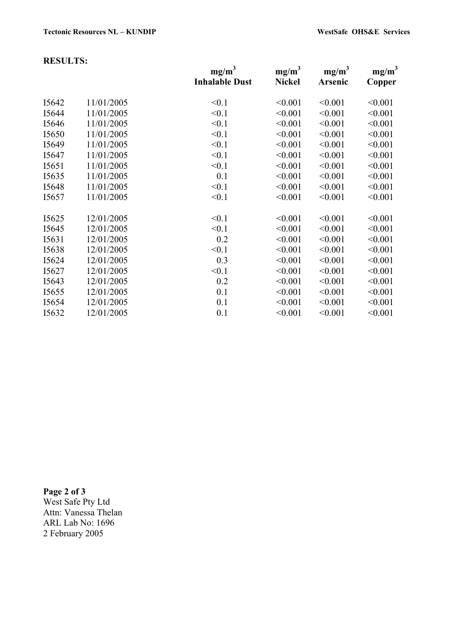#### **RESULTS:**

|       |            | mg/m <sup>3</sup><br><b>Inhalable Dust</b> | $mg/m^3$<br><b>Nickel</b> | mg/m <sup>3</sup><br>Arsenic | mg/m <sup>3</sup><br>Copper |
|-------|------------|--------------------------------------------|---------------------------|------------------------------|-----------------------------|
| I5642 | 11/01/2005 | < 0.1                                      | < 0.001                   | < 0.001                      | < 0.001                     |
| I5644 | 11/01/2005 | < 0.1                                      | < 0.001                   | < 0.001                      | < 0.001                     |
| I5646 | 11/01/2005 | < 0.1                                      | < 0.001                   | < 0.001                      | < 0.001                     |
| I5650 | 11/01/2005 | < 0.1                                      | < 0.001                   | < 0.001                      | < 0.001                     |
| I5649 | 11/01/2005 | < 0.1                                      | < 0.001                   | < 0.001                      | < 0.001                     |
| I5647 | 11/01/2005 | < 0.1                                      | < 0.001                   | < 0.001                      | < 0.001                     |
| I5651 | 11/01/2005 | < 0.1                                      | < 0.001                   | < 0.001                      | < 0.001                     |
| I5635 | 11/01/2005 | 0.1                                        | < 0.001                   | < 0.001                      | < 0.001                     |
| I5648 | 11/01/2005 | < 0.1                                      | < 0.001                   | < 0.001                      | < 0.001                     |
| I5657 | 11/01/2005 | < 0.1                                      | < 0.001                   | < 0.001                      | < 0.001                     |
| I5625 | 12/01/2005 | < 0.1                                      | < 0.001                   | < 0.001                      | < 0.001                     |
| I5645 | 12/01/2005 | < 0.1                                      | < 0.001                   | < 0.001                      | < 0.001                     |
| I5631 | 12/01/2005 | 0.2                                        | < 0.001                   | < 0.001                      | < 0.001                     |
| I5638 | 12/01/2005 | < 0.1                                      | < 0.001                   | < 0.001                      | < 0.001                     |
| I5624 | 12/01/2005 | 0.3                                        | < 0.001                   | < 0.001                      | < 0.001                     |
| I5627 | 12/01/2005 | < 0.1                                      | < 0.001                   | < 0.001                      | < 0.001                     |
| I5643 | 12/01/2005 | 0.2                                        | < 0.001                   | < 0.001                      | < 0.001                     |
| I5655 | 12/01/2005 | 0.1                                        | < 0.001                   | < 0.001                      | < 0.001                     |
| I5654 | 12/01/2005 | 0.1                                        | < 0.001                   | < 0.001                      | < 0.001                     |
| I5632 | 12/01/2005 | 0.1                                        | < 0.001                   | < 0.001                      | < 0.001                     |
|       |            |                                            |                           |                              |                             |

**Page 2 of 3**  West Safe Pty Ltd Attn: Vanessa Thelan ARL Lab No: 1696 2 February 2005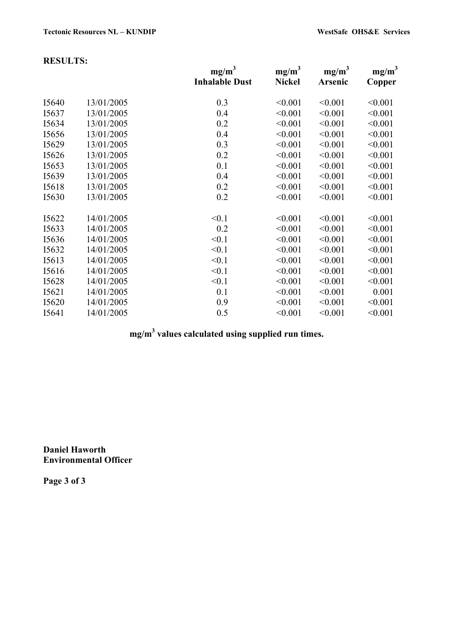|       |            | mg/m <sup>3</sup><br><b>Inhalable Dust</b> | mg/m <sup>3</sup><br><b>Nickel</b> | mg/m <sup>3</sup><br>Arsenic | mg/m <sup>3</sup><br>Copper |
|-------|------------|--------------------------------------------|------------------------------------|------------------------------|-----------------------------|
| I5640 | 13/01/2005 | 0.3                                        | < 0.001                            | < 0.001                      | < 0.001                     |
| I5637 | 13/01/2005 | 0.4                                        | < 0.001                            | < 0.001                      | < 0.001                     |
| I5634 | 13/01/2005 | 0.2                                        | < 0.001                            | < 0.001                      | < 0.001                     |
| I5656 | 13/01/2005 | 0.4                                        | < 0.001                            | < 0.001                      | < 0.001                     |
| I5629 | 13/01/2005 | 0.3                                        | < 0.001                            | < 0.001                      | < 0.001                     |
| I5626 | 13/01/2005 | 0.2                                        | < 0.001                            | < 0.001                      | < 0.001                     |
| I5653 | 13/01/2005 | 0.1                                        | < 0.001                            | < 0.001                      | < 0.001                     |
| I5639 | 13/01/2005 | 0.4                                        | < 0.001                            | < 0.001                      | < 0.001                     |
| I5618 | 13/01/2005 | 0.2                                        | < 0.001                            | < 0.001                      | < 0.001                     |
| I5630 | 13/01/2005 | 0.2                                        | < 0.001                            | < 0.001                      | < 0.001                     |
| I5622 | 14/01/2005 | < 0.1                                      | < 0.001                            | < 0.001                      | < 0.001                     |
| I5633 | 14/01/2005 | 0.2                                        | < 0.001                            | < 0.001                      | < 0.001                     |
| I5636 | 14/01/2005 | < 0.1                                      | < 0.001                            | < 0.001                      | < 0.001                     |
| I5632 | 14/01/2005 | < 0.1                                      | < 0.001                            | < 0.001                      | < 0.001                     |
| I5613 | 14/01/2005 | < 0.1                                      | < 0.001                            | < 0.001                      | < 0.001                     |
| I5616 | 14/01/2005 | < 0.1                                      | < 0.001                            | < 0.001                      | < 0.001                     |
| I5628 | 14/01/2005 | < 0.1                                      | < 0.001                            | < 0.001                      | < 0.001                     |
| I5621 | 14/01/2005 | 0.1                                        | < 0.001                            | < 0.001                      | 0.001                       |
| I5620 | 14/01/2005 | 0.9                                        | < 0.001                            | < 0.001                      | < 0.001                     |
| I5641 | 14/01/2005 | 0.5                                        | < 0.001                            | < 0.001                      | < 0.001                     |
|       |            |                                            |                                    |                              |                             |

### **mg/m3 values calculated using supplied run times.**

**Daniel Haworth Environmental Officer** 

**Page 3 of 3**

## **RESULTS:**